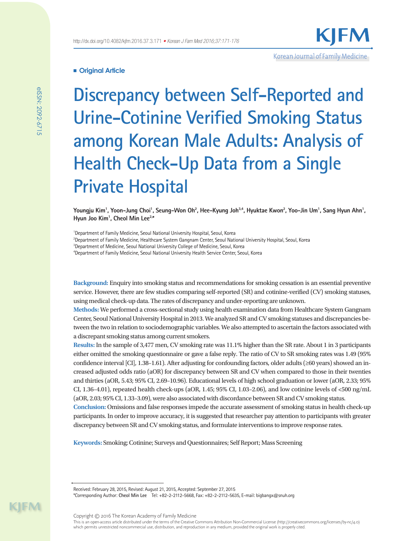**Discrepancy between Self-Reported and Urine-Cotinine Verified Smoking Status among Korean Male Adults: Analysis of Health Check-Up Data from a Single Private Hospital**

Korean Journal of Family Medicine

Youngju Kim<sup>1</sup>, Yoon–Jung Choi<sup>1</sup>, Seung–Won Oh<sup>2</sup>, Hee–Kyung Joh<sup>3,4</sup>, Hyuktae Kwon<sup>2</sup>, Yoo–Jin Um<sup>1</sup>, Sang Hyun Ahn<sup>1</sup>, **Hyun Joo Kim1 , Cheol Min Lee2,\***

<sup>1</sup>Department of Family Medicine, Seoul National University Hospital, Seoul, Korea

2 Department of Family Medicine, Healthcare System Gangnam Center, Seoul National University Hospital, Seoul, Korea

<sup>3</sup>Department of Medicine, Seoul National University College of Medicine, Seoul, Korea

4 Department of Family Medicine, Seoul National University Health Service Center, Seoul, Korea

**Background:** Enquiry into smoking status and recommendations for smoking cessation is an essential preventive service. However, there are few studies comparing self-reported (SR) and cotinine-verified (CV) smoking statuses, using medical check-up data. The rates of discrepancy and under-reporting are unknown.

**Methods:** We performed a cross-sectional study using health examination data from Healthcare System Gangnam Center, Seoul National University Hospital in 2013. We analyzed SR and CV smoking statuses and discrepancies between the two in relation to sociodemographic variables. We also attempted to ascertain the factors associated with a discrepant smoking status among current smokers.

**Results:** In the sample of 3,477 men, CV smoking rate was 11.1% higher than the SR rate. About 1 in 3 participants either omitted the smoking questionnaire or gave a false reply. The ratio of CV to SR smoking rates was 1.49 (95% confidence interval [CI], 1.38–1.61). After adjusting for confounding factors, older adults (≥60 years) showed an increased adjusted odds ratio (aOR) for discrepancy between SR and CV when compared to those in their twenties and thirties (aOR, 5.43; 95% CI, 2.69–10.96). Educational levels of high school graduation or lower (aOR, 2.33; 95% CI, 1.36–4.01), repeated health check-ups (aOR, 1.45; 95% CI, 1.03–2.06), and low cotinine levels of <500 ng/mL (aOR, 2.03; 95% CI, 1.33–3.09), were also associated with discordance between SR and CV smoking status. **Conclusion:** Omissions and false responses impede the accurate assessment of smoking status in health check-up participants. In order to improve accuracy, it is suggested that researcher pay attention to participants with greater discrepancy between SR and CV smoking status, and formulate interventions to improve response rates.

**Keywords:** Smoking; Cotinine; Surveys and Questionnaires; Self Report; Mass Screening

Received: February 28, 2015, Revised: August 21, 2015, Accepted: September 27, 2015

\*Corresponding Author: **Cheol Min Lee** Tel: +82-2-2112-5668, Fax: +82-2-2112-5635, E-mail: bigbangx@snuh.org

Copyright © 2016 The Korean Academy of Family Medicine

This is an open-access article distributed under the terms of the Creative Commons Attribution Non-Commercial License (http://creativecommons.org/licenses/by-nc/4.0) which permits unrestricted noncommercial use, distribution, and reproduction in any medium, provided the original work is properly cited.

KIM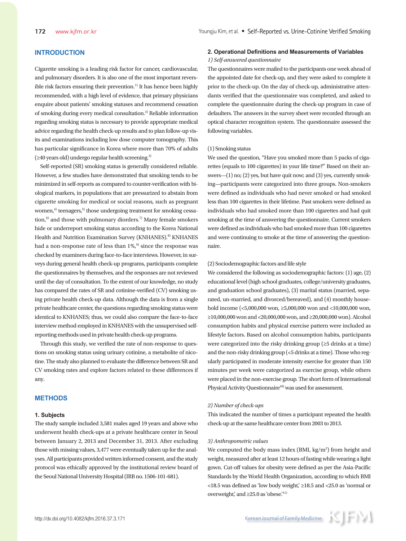# **INTRODUCTION**

Cigarette smoking is a leading risk factor for cancer, cardiovascular, and pulmonary disorders. It is also one of the most important reversible risk factors ensuring their prevention.<sup>1)</sup> It has hence been highly recommended, with a high level of evidence, that primary physicians enquire about patients' smoking statuses and recommend cessation of smoking during every medical consultation.2) Reliable information regarding smoking status is necessary to provide appropriate medical advice regarding the health check-up results and to plan follow-up visits and examinations including low dose computer tomography. This has particular significance in Korea where more than 70% of adults (≥40 years old) undergo regular health screening.3)

Self-reported (SR) smoking status is generally considered reliable. However, a few studies have demonstrated that smoking tends to be minimized in self-reports as compared to counter-verification with biological markers, in populations that are pressurized to abstain from cigarette smoking for medical or social reasons, such as pregnant women, $4$ ) teenagers, $5$ ) those undergoing treatment for smoking cessation, $6$ ) and those with pulmonary diorders.<sup>7)</sup> Many female smokers hide or underreport smoking status according to the Korea National Health and Nutrition Examination Survey (KNHANES).<sup>8)</sup> KNHANES had a non-response rate of less than  $1\%$ ,<sup>9)</sup> since the response was checked by examiners during face-to-face interviews. However, in surveys during general health check-up programs, participants complete the questionnaires by themselves, and the responses are not reviewed until the day of consultation. To the extent of our knowledge, no study has compared the rates of SR and cotinine-verified (CV) smoking using private health check-up data. Although the data is from a single private healthcare center, the questions regarding smoking status were identical to KNHANES; thus, we could also compare the face-to-face interview method employed in KNHANES with the unsupervised selfreporting methods used in private health check-up programs.

Through this study, we verified the rate of non-response to questions on smoking status using urinary cotinine, a metabolite of nicotine. The study also planned to evaluate the difference between SR and CV smoking rates and explore factors related to these differences if any.

# **METHODS**

#### **1. Subjects**

The study sample included 3,581 males aged 19 years and above who underwent health check-ups at a private healthcare center in Seoul between January 2, 2013 and December 31, 2013. After excluding those with missing values, 3,477 were eventually taken up for the analyses. All participants provided written informed consent, and the study protocol was ethically approved by the institutional review board of the Seoul National University Hospital (IRB no. 1506-101-681).

## **2. Operational Definitions and Measurements of Variables** *1) Self-answered questionnaire*

The questionnaires were mailed to the participants one week ahead of the appointed date for check-up, and they were asked to complete it prior to the check-up. On the day of check-up, administrative attendants verified that the questionnaire was completed, and asked to complete the questionnaire during the check-up program in case of defaulters. The answers in the survey sheet were recorded through an optical character recognition system. The questionnaire assessed the following variables.

#### (1) Smoking status

We used the question, "Have you smoked more than 5 packs of cigarettes (equals to 100 cigarettes) in your life time?" Based on their answers—(1) no; (2) yes, but have quit now; and (3) yes, currently smoking—participants were categorized into three groups. Non-smokers were defined as individuals who had never smoked or had smoked less than 100 cigarettes in their lifetime. Past smokers were defined as individuals who had smoked more than 100 cigarettes and had quit smoking at the time of answering the questionnaire. Current smokers were defined as individuals who had smoked more than 100 cigarettes and were continuing to smoke at the time of answering the questionnaire.

## (2) Sociodemographic factors and life style

We considered the following as sociodemographic factors: (1) age, (2) educational level (high school graduates, college/university graduates, and graduation school graduates), (3) marital status (married, separated, un-married, and divorced/bereaved), and (4) monthly household income (<5,000,000 won, ≥5,000,000 won and <10,000,000 won, ≥10,000,000 won and <20,000,000 won, and ≥20,000,000 won). Alcohol consumption habits and physical exercise pattern were included as lifestyle factors. Based on alcohol consumption habits, participants were categorized into the risky drinking group (≥5 drinks at a time) and the non-risky drinking group (<5 drinks at a time). Those who regularly participated in moderate intensity exercise for greater than 150 minutes per week were categorized as exercise group, while others were placed in the non-exercise group. The short form of International Physical Activity Questionnaire<sup>10)</sup> was used for assessment.

## *2) Number of check-ups*

This indicated the number of times a participant repeated the health check-up at the same healthcare center from 2003 to 2013.

#### *3) Anthropometric values*

We computed the body mass index (BMI,  $kg/m<sup>2</sup>$ ) from height and weight, measured after at least 12 hours of fasting while wearing a light gown. Cut-off values for obesity were defined as per the Asia-Pacific Standards by the World Health Organization, according to which BMI <18.5 was defined as 'low body weight,' ≥18.5 and <25.0 as 'normal or overweight,' and  $\geq$ 25.0 as 'obese.'<sup>11)</sup>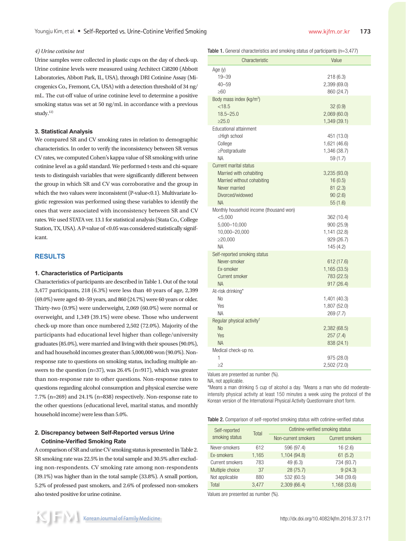### *4) Urine cotinine test*

Urine samples were collected in plastic cups on the day of check-up. Urine cotinine levels were measured using Architect Ci8200 (Abbott Laboratories, Abbott Park, IL, USA), through DRI Cotinine Assay (Microgenics Co., Fremont, CA, USA) with a detection threshold of 34 ng/ mL. The cut-off value of urine cotinine level to determine a positive smoking status was set at 50 ng/mL in accordance with a previous study.12)

#### **3. Statistical Analysis**

We compared SR and CV smoking rates in relation to demographic characteristics. In order to verify the inconsistency between SR versus CV rates, we computed Cohen's kappa value of SR smoking with urine cotinine level as a gold standard. We performed t-tests and chi-square tests to distinguish variables that were significantly different between the group in which SR and CV was corroborative and the group in which the two values were inconsistent (P-value<0.1). Multivariate logistic regression was performed using these variables to identify the ones that were associated with inconsistency between SR and CV rates. We used STATA ver. 13.1 for statistical analysis (Stata Co., College Station, TX, USA). A P-value of <0.05 was considered statistically significant.

# **RESULTS**

#### **1. Characteristics of Participants**

Characteristics of participants are described in Table 1. Out of the total 3,477 participants, 218 (6.3%) were less than 40 years of age, 2,399 (69.0%) were aged 40–59 years, and 860 (24.7%) were 60 years or older. Thirty-two (0.9%) were underweight, 2,069 (60.0%) were normal or overweight, and 1,349 (39.1%) were obese. Those who underwent check-up more than once numbered 2,502 (72.0%). Majority of the participants had educational level higher than college/university graduates (85.0%), were married and living with their spouses (90.0%), and had household incomes greater than 5,000,000 won (90.0%). Nonresponse rate to questions on smoking status, including multiple answers to the question  $(n=37)$ , was 26.4%  $(n=917)$ , which was greater than non-response rate to other questions. Non-response rates to questions regarding alcohol consumption and physical exercise were 7.7% (n=269) and 24.1% (n=838) respectively. Non-response rate to the other questions (educational level, marital status, and monthly household income) were less than 5.0%.

# **2. Discrepancy between Self-Reported versus Urine Cotinine-Verified Smoking Rate**

A comparison of SR and urine CV smoking status is presented in Table 2. SR smoking rate was 22.5% in the total sample and 30.5% after excluding non-respondents. CV smoking rate among non-respondents (39.1%) was higher than in the total sample (33.8%). A small portion, 5.2% of professed past smokers, and 2.6% of professed non-smokers also tested positive for urine cotinine.

Table 1. General characteristics and smoking status of participants (n=3.477)

| Characteristic                                                                                                                           | Value                                                              |
|------------------------------------------------------------------------------------------------------------------------------------------|--------------------------------------------------------------------|
| Age (y)<br>$19 - 39$<br>$40 - 59$<br>$\geq 60$                                                                                           | 218 (6.3)<br>2,399 (69.0)<br>860 (24.7)                            |
| Body mass index (kg/m <sup>2</sup> )<br>< 18.5<br>$18.5 - 25.0$<br>>25.0                                                                 | 32(0.9)<br>2,069 (60.0)<br>1,349 (39.1)                            |
| Educational attainment<br>≤Hiah school<br>College<br>$\geq$ Postgraduate<br><b>NA</b>                                                    | 451 (13.0)<br>1,621 (46.6)<br>1,346 (38.7)<br>59 (1.7)             |
| <b>Current marital status</b><br>Married with cohabiting<br>Married without cohabiting<br>Never married<br>Divorced/widowed<br><b>NA</b> | 3,235 (93.0)<br>16(0.5)<br>81(2.3)<br>90(2.6)<br>55 (1.6)          |
| Monthly household income (thousand won)<br>< 5,000<br>5,000-10,000<br>10,000-20,000<br>≥20,000<br><b>NA</b>                              | 362 (10.4)<br>900 (25.9)<br>1,141 (32.8)<br>929(26.7)<br>145 (4.2) |
| Self-reported smoking status<br>Never-smoker<br>Ex-smoker<br>Current smoker<br><b>NA</b>                                                 | 612 (17.6)<br>1,165 (33.5)<br>783 (22.5)<br>917 (26.4)             |
| At-risk drinking*<br>N <sub>0</sub><br>Yes<br><b>NA</b>                                                                                  | 1,401 (40.3)<br>1,807 (52.0)<br>269 (7.7)                          |
| Regular physical activity <sup>†</sup><br><b>No</b><br>Yes<br><b>NA</b>                                                                  | 2,382 (68.5)<br>257(7.4)<br>838 (24.1)                             |
| Medical check-up no.<br>1<br>$\geq$ 2                                                                                                    | 975 (28.0)<br>2,502 (72.0)                                         |

Values are presented as number (%).

NA, not applicable.

\*Means a man drinking 5 cup of alcohol a day. † Means a man who did moderateintensity physical activity at least 150 minutes a week using the protocol of the Korean version of the International Physical Activity Questionnaire short form.

Table 2. Comparison of self-reported smoking status with cotinine-verified status

| Self-reported<br>smoking status | Total | Cotinine-verified smoking status |                        |  |  |  |  |
|---------------------------------|-------|----------------------------------|------------------------|--|--|--|--|
|                                 |       | Non-current smokers              | <b>Current smokers</b> |  |  |  |  |
| Never-smokers                   | 612   | 596 (97.4)                       | 16(2.6)                |  |  |  |  |
| Ex-smokers                      | 1,165 | 1,104 (94.8)                     | 61(5.2)                |  |  |  |  |
| Current smokers                 | 783   | 49 (6.3)                         | 734 (93.7)             |  |  |  |  |
| Multiple choice                 | 37    | 28(75.7)                         | 9(24.3)                |  |  |  |  |
| Not applicable                  | 880   | 532 (60.5)                       | 348 (39.6)             |  |  |  |  |
| Total                           | 3.477 | 2,309(66.4)                      | 1,168 (33.6)           |  |  |  |  |

Values are presented as number (%).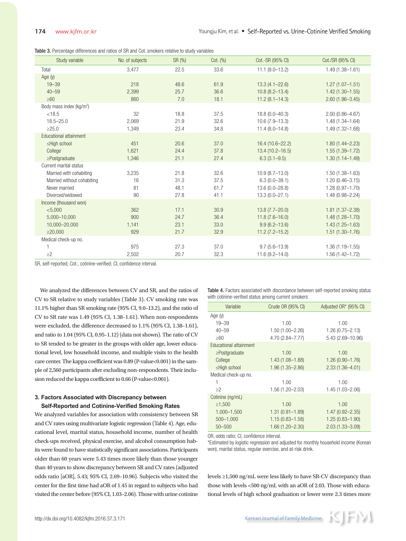|  | Table 3. Percentage differences and ratios of SR and Cot. smokers relative to study variables |  |  |  |  |  |  |  |  |  |  |  |
|--|-----------------------------------------------------------------------------------------------|--|--|--|--|--|--|--|--|--|--|--|
|--|-----------------------------------------------------------------------------------------------|--|--|--|--|--|--|--|--|--|--|--|

| Study variable                      | No. of subjects | SR (%) | Cot. (%) | Cot.-SR (95% CI)    | Cot./SR (95% CI)    |
|-------------------------------------|-----------------|--------|----------|---------------------|---------------------|
| Total                               | 3,477           | 22.5   | 33.6     | $11.1 (9.0 - 13.2)$ | $1.49(1.38 - 1.61)$ |
| Age (y)                             |                 |        |          |                     |                     |
| $19 - 39$                           | 218             | 48.6   | 61.9     | $13.3(4.1 - 22.6)$  | $1.27(1.07 - 1.51)$ |
| $40 - 59$                           | 2,399           | 25.7   | 36.6     | $10.8(8.2 - 13.4)$  | $1.42(1.30 - 1.55)$ |
| $\geq 60$                           | 860             | 7.0    | 18.1     | $11.2(8.1 - 14.3)$  | $2.60(1.96 - 3.45)$ |
| Body mass index ( $\text{kg/m}^2$ ) |                 |        |          |                     |                     |
| < 18.5                              | 32              | 18.8   | 37.5     | $18.8(0.0 - 40.3)$  | $2.00(0.86 - 4.67)$ |
| $18.5 - 25.0$                       | 2,069           | 21.9   | 32.6     | $10.6(7.9 - 13.3)$  | $1.48(1.34 - 1.64)$ |
| >25.0                               | 1,349           | 23.4   | 34.8     | $11.4(8.0 - 14.8)$  | $1.49(1.32 - 1.68)$ |
| Educational attainment              |                 |        |          |                     |                     |
| ≤High school                        | 451             | 20.6   | 37.0     | $16.4(10.6 - 22.2)$ | $1.80(1.44 - 2.23)$ |
| College                             | 1.621           | 24.4   | 37.8     | 13.4 (10.2-16.5)    | $1.55(1.39 - 1.72)$ |
| $\geq$ Postgraduate                 | 1,346           | 21.1   | 27.4     | $6.3(3.1 - 9.5)$    | $1.30(1.14 - 1.49)$ |
| Current marital status              |                 |        |          |                     |                     |
| Married with cohabiting             | 3,235           | 21.8   | 32.6     | $10.9(8.7-13.0)$    | $1.50(1.38 - 1.63)$ |
| Married without cohabiting          | 16              | 31.3   | 37.5     | $6.3(0.0 - 39.1)$   | $1.20(0.46 - 3.15)$ |
| Never married                       | 81              | 48.1   | 61.7     | 13.6 (0.0-28.8)     | $1.28(0.97 - 1.70)$ |
| Divorced/widowed                    | 90              | 27.8   | 41.1     | $13.3(0.0 - 27.1)$  | $1.48(0.98 - 2.24)$ |
| Income (thousand won)               |                 |        |          |                     |                     |
| < 5,000                             | 362             | 17.1   | 30.9     | $13.8(7.7 - 20.0)$  | $1.81(1.37 - 2.38)$ |
| 5,000-10,000                        | 900             | 24.7   | 36.4     | $11.8(7.6 - 16.0)$  | $1.48(1.28 - 1.70)$ |
| 10,000-20,000                       | 1,141           | 23.1   | 33.0     | $9.9(6.2 - 13.6)$   | $1.43(1.25 - 1.63)$ |
| $\geq 20,000$                       | 929             | 21.7   | 32.9     | $11.2(7.2 - 15.2)$  | $1.51(1.30 - 1.76)$ |
| Medical check-up no.                |                 |        |          |                     |                     |
| $\mathbf{1}$                        | 975             | 27.3   | 37.0     | $9.7(5.6 - 13.9)$   | $1.36(1.19 - 1.55)$ |
| $\geq$ 2                            | 2,502           | 20.7   | 32.3     | $11.6(9.2 - 14.0)$  | $1.56(1.42 - 1.72)$ |

SR, self-reported; Cot., cotinine-verified; CI, confidence interval.

We analyzed the differences between CV and SR, and the ratios of CV to SR relative to study variables (Table 3). CV smoking rate was 11.1% higher than SR smoking rate (95% CI, 9.0–13.2), and the ratio of CV to SR rate was 1.49 (95% CI, 1.38–1.61). When non-respondents were excluded, the difference decreased to 1.1% (95% CI, 1.38–1.61), and ratio to 1.04 (95% CI, 0.95–1.12) (data not shown). The ratio of CV to SR tended to be greater in the groups with older age, lower educational level, low household income, and multiple visits to the health care center. The kappa coefficient was 0.89 (P-value<0.001) in the sample of 2,560 participants after excluding non-respondents. Their inclusion reduced the kappa coefficient to 0.66 (P-value<0.001).

# **3. Factors Associated with Discrepancy between Self-Reported and Cotinine-Verified Smoking Rates**

We analyzed variables for association with consistency between SR and CV rates using multivariate logistic regression (Table 4). Age, educational level, marital status, household income, number of health check-ups received, physical exercise, and alcohol consumption habits were found to have statistically significant associations. Participants older than 60 years were 5.43 times more likely than those younger than 40 years to show discrepancy between SR and CV rates (adjusted odds ratio [aOR], 5.43; 95% CI, 2.69–10.96). Subjects who visited the center for the first time had aOR of 1.45 in regard to subjects who had visited the center before (95% CI, 1.03–2.06). Those with urine cotinine Table 4. Factors associated with discordance between self-reported smoking status with cotinine-verified status among current smokers

| Variable               | Crude OR (95% CI)   | Adjusted OR* (95% CI) |
|------------------------|---------------------|-----------------------|
| Age $(y)$              |                     |                       |
| $19 - 39$              | 1.00                | 1.00                  |
| $40 - 59$              | $1.50(1.00 - 2.26)$ | $1.26(0.75 - 2.13)$   |
| $\geq 60$              | 4.70 (2.84-7.77)    | 5.43 (2.69-10.96)     |
| Educational attainment |                     |                       |
| $\geq$ Postgraduate    | 1.00                | 1.00                  |
| College                | $1.43(1.08 - 1.88)$ | $1.26(0.90 - 1.76)$   |
| ≤High school           | $1.96(1.35 - 2.86)$ | $2.33(1.36 - 4.01)$   |
| Medical check-up no.   |                     |                       |
| 1                      | 1.00                | 1.00                  |
| $\geq$ 2               | $1.56(1.20 - 2.03)$ | 1.45 (1.03-2.06)      |
| Cotinine (ng/mL)       |                     |                       |
| ≥1,500                 | 1.00                | 1.00                  |
| 1,000-1,500            | $1.31(0.91 - 1.89)$ | $1.47(0.92 - 2.35)$   |
| $500 - 1,000$          | $1.15(0.83 - 1.58)$ | $1.25(0.83 - 1.90)$   |
| $50 - 500$             | $1.66(1.20 - 2.30)$ | $2.03(1.33 - 3.09)$   |

OR, odds ratio; CI, confidence interval.

\*Estimated by logistic regression and adjusted for monthly household income (Korean won), marital status, regular exercise, and at-risk drink.

levels ≥1,500 ng/mL were less likely to have SR-CV discrepancy than those with levels <500 ng/mL with an aOR of 2.03. Those with educational levels of high school graduation or lower were 2.3 times more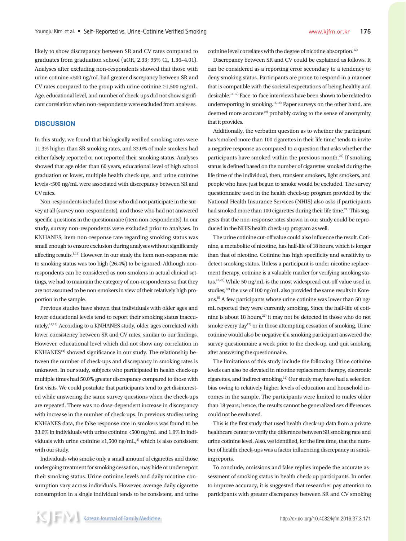likely to show discrepancy between SR and CV rates compared to graduates from graduation school (aOR, 2.33; 95% CI, 1.36–4.01). Analyses after excluding non-respondents showed that those with urine cotinine <500 ng/mL had greater discrepancy between SR and CV rates compared to the group with urine cotinine ≥1,500 ng/mL. Age, educational level, and number of check-ups did not show significant correlation when non-respondents were excluded from analyses.

# **DISCUSSION**

In this study, we found that biologically verified smoking rates were 11.3% higher than SR smoking rates, and 33.0% of male smokers had either falsely reported or not reported their smoking status. Analyses showed that age older than 60 years, educational level of high school graduation or lower, multiple health check-ups, and urine cotinine levels <500 ng/mL were associated with discrepancy between SR and CV rates.

Non-respondents included those who did not participate in the survey at all (survey non-respondents), and those who had not answered specific questions in the questionnaire (item non-respondents). In our study, survey non-respondents were excluded prior to analyses. In KNHANES, item non-response rate regarding smoking status was small enough to ensure exclusion during analyses without significantly affecting results.<sup>8,13)</sup> However, in our study the item non-response rate to smoking status was too high (26.4%) to be ignored. Although nonrespondents can be considered as non-smokers in actual clinical settings, we had to maintain the category of non-respondents so that they are not assumed to be non-smokers in view of their relatively high proportion in the sample.

Previous studies have shown that individuals with older ages and lower educational levels tend to report their smoking status inaccurately.<sup>14,15)</sup> According to a KNHANES study, older ages correlated with lower consistency between SR and CV rates, similar to our findings. However, educational level which did not show any correlation in KNHANES<sup>13)</sup> showed significance in our study. The relationship between the number of check-ups and discrepancy in smoking rates is unknown. In our study, subjects who participated in health check-up multiple times had 50.0% greater discrepancy compared to those with first visits. We could postulate that participants tend to get disinterested while answering the same survey questions when the check-ups are repeated. There was no dose-dependent increase in discrepancy with increase in the number of check-ups. In previous studies using KNHANES data, the false response rate in smokers was found to be 33.6% in individuals with urine cotinine <500 ng/mL and 1.9% in individuals with urine cotinine  $\geq 1,500$  ng/mL,<sup>8)</sup> which is also consistent with our study.

Individuals who smoke only a small amount of cigarettes and those undergoing treatment for smoking cessation, may hide or underreport their smoking status. Urine cotinine levels and daily nicotine consumption vary across individuals. However, average daily cigarette consumption in a single individual tends to be consistent, and urine cotinine level correlates with the degree of nicotine absorption.<sup>12)</sup>

Discrepancy between SR and CV could be explained as follows. It can be considered as a reporting error secondary to a tendency to deny smoking status. Participants are prone to respond in a manner that is compatible with the societal expectations of being healthy and desirable.16,17) Face-to-face interviews have been shown to be related to underreporting in smoking.16,18) Paper surveys on the other hand, are deemed more accurate<sup>19)</sup> probably owing to the sense of anonymity that it provides.

Additionally, the verbatim question as to whether the participant has 'smoked more than 100 cigarettes in their life time,' tends to invite a negative response as compared to a question that asks whether the participants have smoked within the previous month.<sup>20)</sup> If smoking status is defined based on the number of cigarettes smoked during the life time of the individual, then, transient smokers, light smokers, and people who have just begun to smoke would be excluded. The survey questionnaire used in the health check-up program provided by the National Health Insurance Services (NHIS) also asks if participants had smoked more than 100 cigarettes during their life time.<sup>21)</sup> This suggests that the non-response rates shown in our study could be reproduced in the NHIS health check-up program as well.

The urine cotinine cut-off value could also influence the result. Cotinine, a metabolite of nicotine, has half-life of 18 hours, which is longer than that of nicotine. Cotinine has high specificity and sensitivity to detect smoking status. Unless a participant is under nicotine replacement therapy, cotinine is a valuable marker for verifying smoking status.12,22) While 50 ng/mL is the most widespread cut-off value used in studies, $12$ <sup>th</sup> the use of 100 ng/mL also provided the same results in Koreans.<sup>8)</sup> A few participants whose urine cotinine was lower than 50 ng/ mL reported they were currently smoking. Since the half-life of cotinine is about 18 hours,<sup>22)</sup> it may not be detected in those who do not smoke every day<sup>12)</sup> or in those attempting cessation of smoking. Urine cotinine would also be negative if a smoking participant answered the survey questionnaire a week prior to the check-up, and quit smoking after answering the questionnaire.

The limitations of this study include the following. Urine cotinine levels can also be elevated in nicotine replacement therapy, electronic cigarettes, and indirect smoking.12) Our study may have had a selection bias owing to relatively higher levels of education and household incomes in the sample. The participants were limited to males older than 18 years; hence, the results cannot be generalized sex differences could not be evaluated.

This is the first study that used health check-up data from a private healthcare center to verify the difference between SR smoking rate and urine cotinine level. Also, we identified, for the first time, that the number of health check-ups was a factor influencing discrepancy in smoking reports.

To conclude, omissions and false replies impede the accurate assessment of smoking status in health check-up participants. In order to improve accuracy, it is suggested that researcher pay attention to participants with greater discrepancy between SR and CV smoking